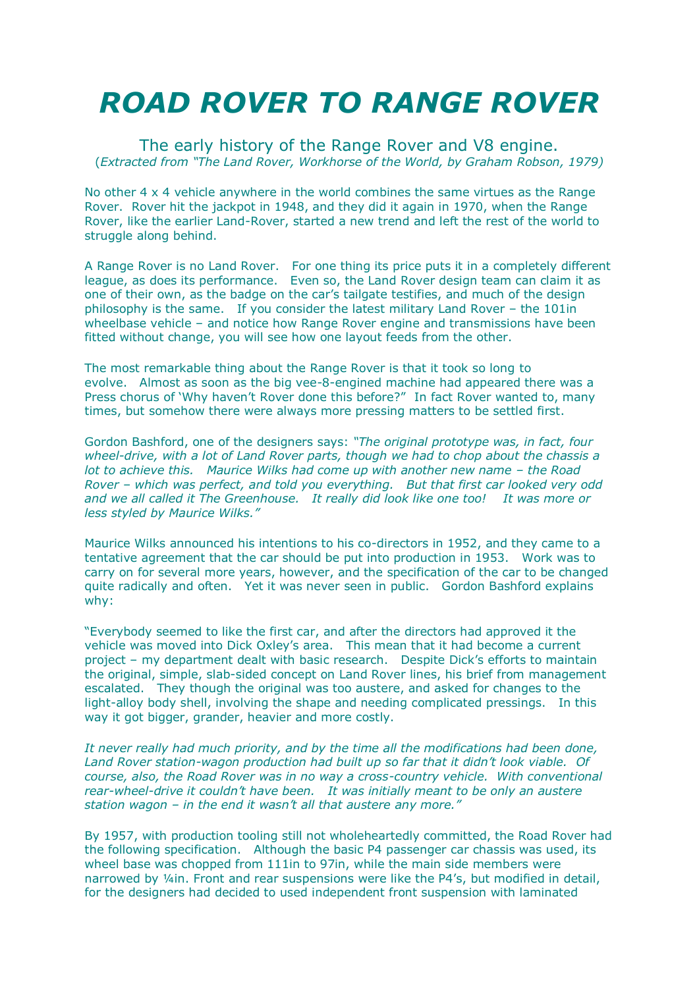## *ROAD ROVER TO RANGE ROVER*

The early history of the Range Rover and V8 engine. (*Extracted from "The Land Rover, Workhorse of the World, by Graham Robson, 1979)*

No other 4 x 4 vehicle anywhere in the world combines the same virtues as the Range Rover. Rover hit the jackpot in 1948, and they did it again in 1970, when the Range Rover, like the earlier Land-Rover, started a new trend and left the rest of the world to struggle along behind.

A Range Rover is no Land Rover. For one thing its price puts it in a completely different league, as does its performance. Even so, the Land Rover design team can claim it as one of their own, as the badge on the car's tailgate testifies, and much of the design philosophy is the same. If you consider the latest military Land Rover – the 101in wheelbase vehicle – and notice how Range Rover engine and transmissions have been fitted without change, you will see how one layout feeds from the other.

The most remarkable thing about the Range Rover is that it took so long to evolve. Almost as soon as the big vee-8-engined machine had appeared there was a Press chorus of 'Why haven't Rover done this before?" In fact Rover wanted to, many times, but somehow there were always more pressing matters to be settled first.

Gordon Bashford, one of the designers says: *"The original prototype was, in fact, four wheel-drive, with a lot of Land Rover parts, though we had to chop about the chassis a lot to achieve this. Maurice Wilks had come up with another new name – the Road Rover – which was perfect, and told you everything. But that first car looked very odd and we all called it The Greenhouse. It really did look like one too! It was more or less styled by Maurice Wilks."*

Maurice Wilks announced his intentions to his co-directors in 1952, and they came to a tentative agreement that the car should be put into production in 1953. Work was to carry on for several more years, however, and the specification of the car to be changed quite radically and often. Yet it was never seen in public. Gordon Bashford explains why:

"Everybody seemed to like the first car, and after the directors had approved it the vehicle was moved into Dick Oxley's area. This mean that it had become a current project – my department dealt with basic research. Despite Dick's efforts to maintain the original, simple, slab-sided concept on Land Rover lines, his brief from management escalated. They though the original was too austere, and asked for changes to the light-alloy body shell, involving the shape and needing complicated pressings. In this way it got bigger, grander, heavier and more costly.

*It never really had much priority, and by the time all the modifications had been done, Land Rover station-wagon production had built up so far that it didn't look viable. Of course, also, the Road Rover was in no way a cross-country vehicle. With conventional rear-wheel-drive it couldn't have been. It was initially meant to be only an austere station wagon – in the end it wasn't all that austere any more."*

By 1957, with production tooling still not wholeheartedly committed, the Road Rover had the following specification. Although the basic P4 passenger car chassis was used, its wheel base was chopped from 111in to 97in, while the main side members were narrowed by 1/4in. Front and rear suspensions were like the P4's, but modified in detail, for the designers had decided to used independent front suspension with laminated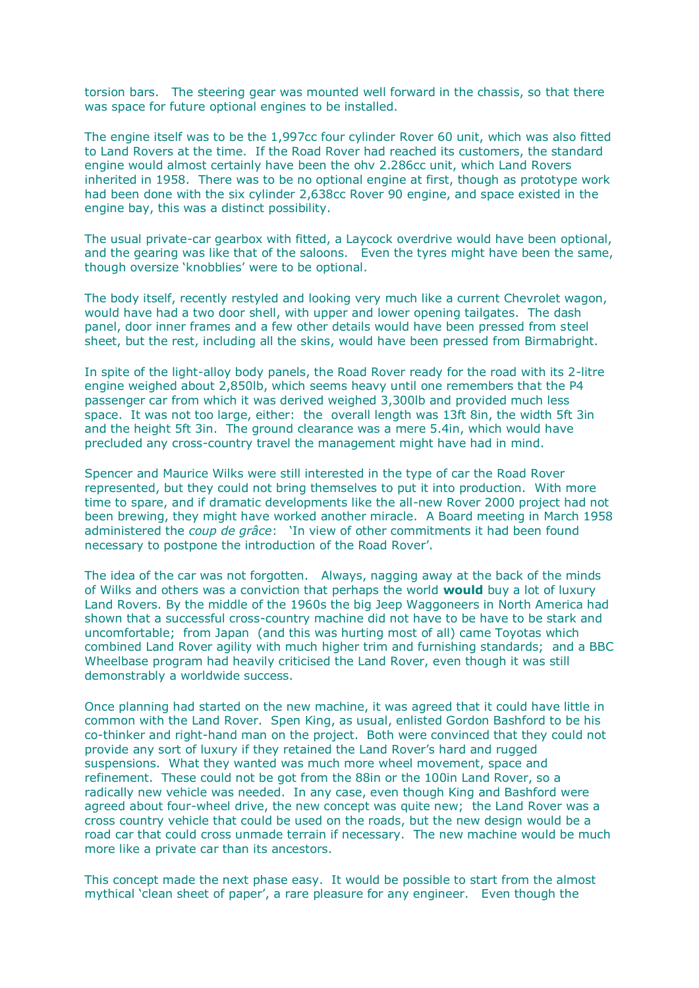torsion bars. The steering gear was mounted well forward in the chassis, so that there was space for future optional engines to be installed.

The engine itself was to be the 1,997cc four cylinder Rover 60 unit, which was also fitted to Land Rovers at the time. If the Road Rover had reached its customers, the standard engine would almost certainly have been the ohv 2.286cc unit, which Land Rovers inherited in 1958. There was to be no optional engine at first, though as prototype work had been done with the six cylinder 2,638cc Rover 90 engine, and space existed in the engine bay, this was a distinct possibility.

The usual private-car gearbox with fitted, a Laycock overdrive would have been optional, and the gearing was like that of the saloons. Even the tyres might have been the same, though oversize 'knobblies' were to be optional.

The body itself, recently restyled and looking very much like a current Chevrolet wagon, would have had a two door shell, with upper and lower opening tailgates. The dash panel, door inner frames and a few other details would have been pressed from steel sheet, but the rest, including all the skins, would have been pressed from Birmabright.

In spite of the light-alloy body panels, the Road Rover ready for the road with its 2-litre engine weighed about 2,850lb, which seems heavy until one remembers that the P4 passenger car from which it was derived weighed 3,300lb and provided much less space. It was not too large, either: the overall length was 13ft 8in, the width 5ft 3in and the height 5ft 3in. The ground clearance was a mere 5.4in, which would have precluded any cross-country travel the management might have had in mind.

Spencer and Maurice Wilks were still interested in the type of car the Road Rover represented, but they could not bring themselves to put it into production. With more time to spare, and if dramatic developments like the all-new Rover 2000 project had not been brewing, they might have worked another miracle. A Board meeting in March 1958 administered the *coup de grâce*: 'In view of other commitments it had been found necessary to postpone the introduction of the Road Rover'.

The idea of the car was not forgotten. Always, nagging away at the back of the minds of Wilks and others was a conviction that perhaps the world **would** buy a lot of luxury Land Rovers. By the middle of the 1960s the big Jeep Waggoneers in North America had shown that a successful cross-country machine did not have to be have to be stark and uncomfortable; from Japan (and this was hurting most of all) came Toyotas which combined Land Rover agility with much higher trim and furnishing standards; and a BBC Wheelbase program had heavily criticised the Land Rover, even though it was still demonstrably a worldwide success.

Once planning had started on the new machine, it was agreed that it could have little in common with the Land Rover. Spen King, as usual, enlisted Gordon Bashford to be his co-thinker and right-hand man on the project. Both were convinced that they could not provide any sort of luxury if they retained the Land Rover's hard and rugged suspensions. What they wanted was much more wheel movement, space and refinement. These could not be got from the 88in or the 100in Land Rover, so a radically new vehicle was needed. In any case, even though King and Bashford were agreed about four-wheel drive, the new concept was quite new; the Land Rover was a cross country vehicle that could be used on the roads, but the new design would be a road car that could cross unmade terrain if necessary. The new machine would be much more like a private car than its ancestors.

This concept made the next phase easy. It would be possible to start from the almost mythical 'clean sheet of paper', a rare pleasure for any engineer. Even though the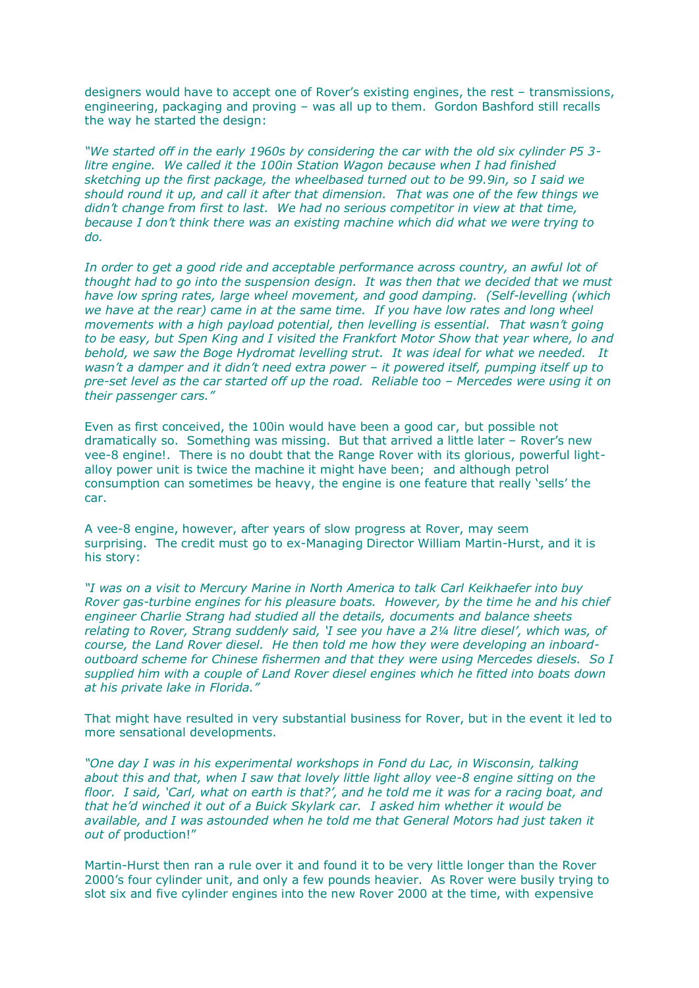designers would have to accept one of Rover's existing engines, the rest – transmissions, engineering, packaging and proving – was all up to them. Gordon Bashford still recalls the way he started the design:

*"We started off in the early 1960s by considering the car with the old six cylinder P5 3 litre engine. We called it the 100in Station Wagon because when I had finished sketching up the first package, the wheelbased turned out to be 99.9in, so I said we should round it up, and call it after that dimension. That was one of the few things we didn't change from first to last. We had no serious competitor in view at that time, because I don't think there was an existing machine which did what we were trying to do.*

*In order to get a good ride and acceptable performance across country, an awful lot of thought had to go into the suspension design. It was then that we decided that we must have low spring rates, large wheel movement, and good damping. (Self-levelling (which we have at the rear) came in at the same time. If you have low rates and long wheel movements with a high payload potential, then levelling is essential. That wasn't going to be easy, but Spen King and I visited the Frankfort Motor Show that year where, lo and behold, we saw the Boge Hydromat levelling strut. It was ideal for what we needed. It wasn't a damper and it didn't need extra power – it powered itself, pumping itself up to pre-set level as the car started off up the road. Reliable too – Mercedes were using it on their passenger cars."*

Even as first conceived, the 100in would have been a good car, but possible not dramatically so. Something was missing. But that arrived a little later – Rover's new vee-8 engine!. There is no doubt that the Range Rover with its glorious, powerful lightalloy power unit is twice the machine it might have been; and although petrol consumption can sometimes be heavy, the engine is one feature that really 'sells' the car.

A vee-8 engine, however, after years of slow progress at Rover, may seem surprising. The credit must go to ex-Managing Director William Martin-Hurst, and it is his story:

*"I was on a visit to Mercury Marine in North America to talk Carl Keikhaefer into buy Rover gas-turbine engines for his pleasure boats. However, by the time he and his chief engineer Charlie Strang had studied all the details, documents and balance sheets relating to Rover, Strang suddenly said, 'I see you have a 2¼ litre diesel', which was, of course, the Land Rover diesel. He then told me how they were developing an inboardoutboard scheme for Chinese fishermen and that they were using Mercedes diesels. So I supplied him with a couple of Land Rover diesel engines which he fitted into boats down at his private lake in Florida."* 

That might have resulted in very substantial business for Rover, but in the event it led to more sensational developments.

*"One day I was in his experimental workshops in Fond du Lac, in Wisconsin, talking about this and that, when I saw that lovely little light alloy vee-8 engine sitting on the floor. I said, 'Carl, what on earth is that?', and he told me it was for a racing boat, and that he'd winched it out of a Buick Skylark car. I asked him whether it would be available, and I was astounded when he told me that General Motors had just taken it out of* production!"

Martin-Hurst then ran a rule over it and found it to be very little longer than the Rover 2000's four cylinder unit, and only a few pounds heavier. As Rover were busily trying to slot six and five cylinder engines into the new Rover 2000 at the time, with expensive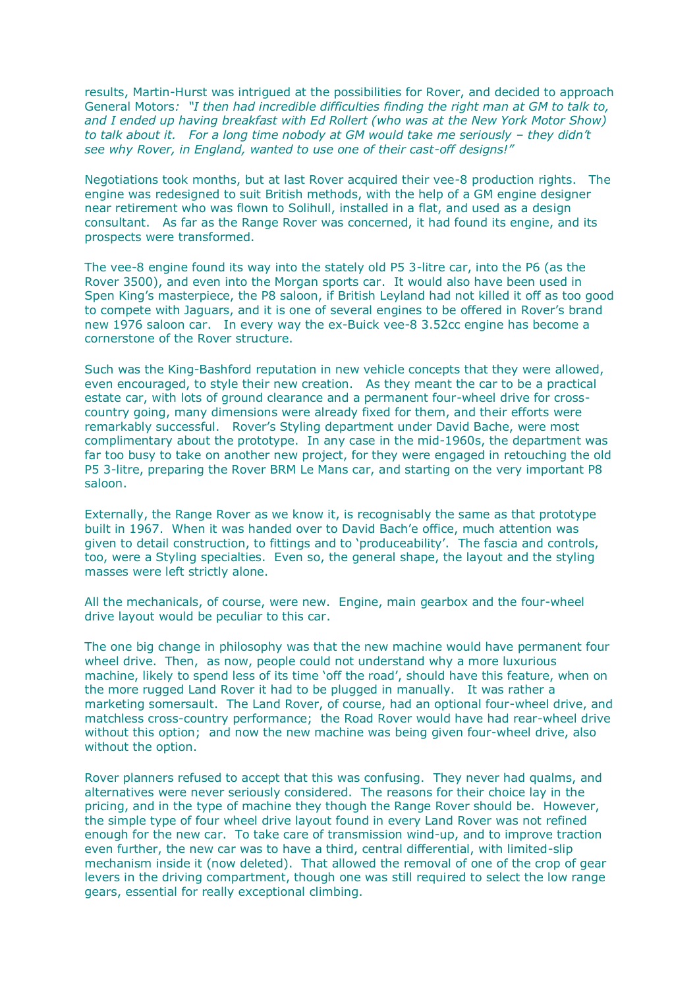results, Martin-Hurst was intrigued at the possibilities for Rover, and decided to approach General Motors*: "I then had incredible difficulties finding the right man at GM to talk to, and I ended up having breakfast with Ed Rollert (who was at the New York Motor Show) to talk about it. For a long time nobody at GM would take me seriously – they didn't see why Rover, in England, wanted to use one of their cast-off designs!"*

Negotiations took months, but at last Rover acquired their vee-8 production rights. The engine was redesigned to suit British methods, with the help of a GM engine designer near retirement who was flown to Solihull, installed in a flat, and used as a design consultant. As far as the Range Rover was concerned, it had found its engine, and its prospects were transformed.

The vee-8 engine found its way into the stately old P5 3-litre car, into the P6 (as the Rover 3500), and even into the Morgan sports car. It would also have been used in Spen King's masterpiece, the P8 saloon, if British Leyland had not killed it off as too good to compete with Jaguars, and it is one of several engines to be offered in Rover's brand new 1976 saloon car. In every way the ex-Buick vee-8 3.52cc engine has become a cornerstone of the Rover structure.

Such was the King-Bashford reputation in new vehicle concepts that they were allowed, even encouraged, to style their new creation. As they meant the car to be a practical estate car, with lots of ground clearance and a permanent four-wheel drive for crosscountry going, many dimensions were already fixed for them, and their efforts were remarkably successful. Rover's Styling department under David Bache, were most complimentary about the prototype. In any case in the mid-1960s, the department was far too busy to take on another new project, for they were engaged in retouching the old P5 3-litre, preparing the Rover BRM Le Mans car, and starting on the very important P8 saloon.

Externally, the Range Rover as we know it, is recognisably the same as that prototype built in 1967. When it was handed over to David Bach'e office, much attention was given to detail construction, to fittings and to 'produceability'. The fascia and controls, too, were a Styling specialties. Even so, the general shape, the layout and the styling masses were left strictly alone.

All the mechanicals, of course, were new. Engine, main gearbox and the four-wheel drive layout would be peculiar to this car.

The one big change in philosophy was that the new machine would have permanent four wheel drive. Then, as now, people could not understand why a more luxurious machine, likely to spend less of its time 'off the road', should have this feature, when on the more rugged Land Rover it had to be plugged in manually. It was rather a marketing somersault. The Land Rover, of course, had an optional four-wheel drive, and matchless cross-country performance; the Road Rover would have had rear-wheel drive without this option; and now the new machine was being given four-wheel drive, also without the option.

Rover planners refused to accept that this was confusing. They never had qualms, and alternatives were never seriously considered. The reasons for their choice lay in the pricing, and in the type of machine they though the Range Rover should be. However, the simple type of four wheel drive layout found in every Land Rover was not refined enough for the new car. To take care of transmission wind-up, and to improve traction even further, the new car was to have a third, central differential, with limited-slip mechanism inside it (now deleted). That allowed the removal of one of the crop of gear levers in the driving compartment, though one was still required to select the low range gears, essential for really exceptional climbing.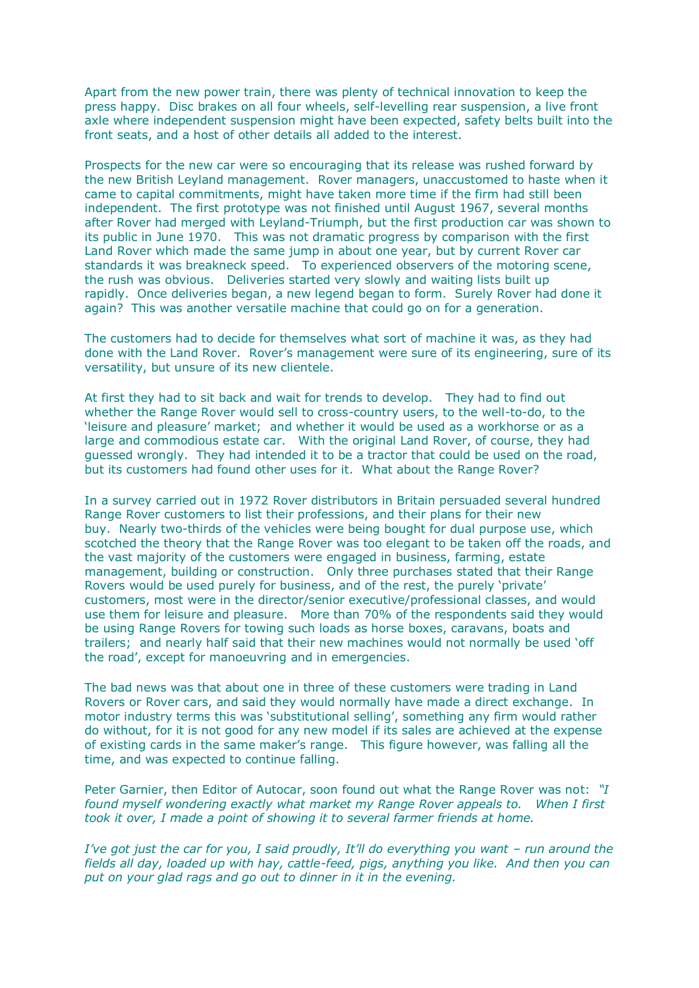Apart from the new power train, there was plenty of technical innovation to keep the press happy. Disc brakes on all four wheels, self-levelling rear suspension, a live front axle where independent suspension might have been expected, safety belts built into the front seats, and a host of other details all added to the interest.

Prospects for the new car were so encouraging that its release was rushed forward by the new British Leyland management. Rover managers, unaccustomed to haste when it came to capital commitments, might have taken more time if the firm had still been independent. The first prototype was not finished until August 1967, several months after Rover had merged with Leyland-Triumph, but the first production car was shown to its public in June 1970. This was not dramatic progress by comparison with the first Land Rover which made the same jump in about one year, but by current Rover car standards it was breakneck speed. To experienced observers of the motoring scene, the rush was obvious. Deliveries started very slowly and waiting lists built up rapidly. Once deliveries began, a new legend began to form. Surely Rover had done it again? This was another versatile machine that could go on for a generation.

The customers had to decide for themselves what sort of machine it was, as they had done with the Land Rover. Rover's management were sure of its engineering, sure of its versatility, but unsure of its new clientele.

At first they had to sit back and wait for trends to develop. They had to find out whether the Range Rover would sell to cross-country users, to the well-to-do, to the 'leisure and pleasure' market; and whether it would be used as a workhorse or as a large and commodious estate car. With the original Land Rover, of course, they had guessed wrongly. They had intended it to be a tractor that could be used on the road, but its customers had found other uses for it. What about the Range Rover?

In a survey carried out in 1972 Rover distributors in Britain persuaded several hundred Range Rover customers to list their professions, and their plans for their new buy. Nearly two-thirds of the vehicles were being bought for dual purpose use, which scotched the theory that the Range Rover was too elegant to be taken off the roads, and the vast majority of the customers were engaged in business, farming, estate management, building or construction. Only three purchases stated that their Range Rovers would be used purely for business, and of the rest, the purely 'private' customers, most were in the director/senior executive/professional classes, and would use them for leisure and pleasure. More than 70% of the respondents said they would be using Range Rovers for towing such loads as horse boxes, caravans, boats and trailers; and nearly half said that their new machines would not normally be used 'off the road', except for manoeuvring and in emergencies.

The bad news was that about one in three of these customers were trading in Land Rovers or Rover cars, and said they would normally have made a direct exchange. In motor industry terms this was 'substitutional selling', something any firm would rather do without, for it is not good for any new model if its sales are achieved at the expense of existing cards in the same maker's range. This figure however, was falling all the time, and was expected to continue falling.

Peter Garnier, then Editor of Autocar, soon found out what the Range Rover was not: *"I found myself wondering exactly what market my Range Rover appeals to. When I first took it over, I made a point of showing it to several farmer friends at home.*

*I've got just the car for you, I said proudly, It'll do everything you want – run around the fields all day, loaded up with hay, cattle-feed, pigs, anything you like. And then you can put on your glad rags and go out to dinner in it in the evening.*